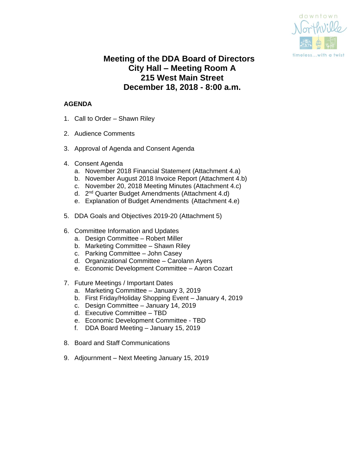

# **Meeting of the DDA Board of Directors City Hall – Meeting Room A 215 West Main Street December 18, 2018 - 8:00 a.m.**

# **AGENDA**

- 1. Call to Order Shawn Riley
- 2. Audience Comments
- 3. Approval of Agenda and Consent Agenda
- 4. Consent Agenda
	- a. November 2018 Financial Statement (Attachment 4.a)
	- b. November August 2018 Invoice Report (Attachment 4.b)
	- c. November 20, 2018 Meeting Minutes (Attachment 4.c)
	- d. 2<sup>nd</sup> Quarter Budget Amendments (Attachment 4.d)
	- e. Explanation of Budget Amendments (Attachment 4.e)
- 5. DDA Goals and Objectives 2019-20 (Attachment 5)
- 6. Committee Information and Updates
	- a. Design Committee Robert Miller
	- b. Marketing Committee Shawn Riley
	- c. Parking Committee John Casey
	- d. Organizational Committee Carolann Ayers
	- e. Economic Development Committee Aaron Cozart
- 7. Future Meetings / Important Dates
	- a. Marketing Committee January 3, 2019
	- b. First Friday/Holiday Shopping Event January 4, 2019
	- c. Design Committee January 14, 2019
	- d. Executive Committee TBD
	- e. Economic Development Committee TBD
	- f. DDA Board Meeting January 15, 2019
- 8. Board and Staff Communications
- 9. Adjournment Next Meeting January 15, 2019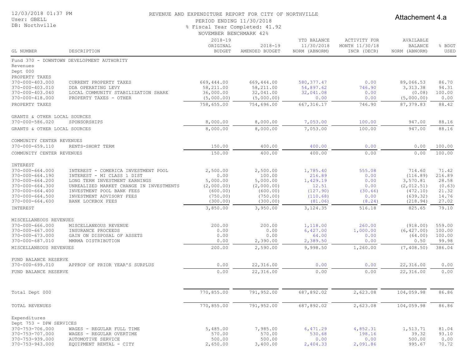| 12/03/2018 01:37 PM |  |  |
|---------------------|--|--|
|---------------------|--|--|

#### User: GBELL DB: Northville

#### REVENUE AND EXPENDITURE REPORT FOR CITY OF NORTHVILLE

PERIOD ENDING 11/30/2018

Attachement 4.a

#### % Fiscal Year Completed: 41.92

|  | NOVEMBER BENCHMARK 42% |  |
|--|------------------------|--|
|--|------------------------|--|

| GL NUMBER                                | DESCRIPTION                                      | $2018 - 19$<br>ORIGINAL<br><b>BUDGET</b> | $2018 - 19$<br>AMENDED BUDGET | YTD BALANCE<br>11/30/2018<br>NORM (ABNORM) | ACTIVITY FOR<br>MONTH 11/30/18<br>INCR (DECR) | AVAILABLE<br><b>BALANCE</b><br>NORM (ABNORM) | % BDGT<br>USED  |
|------------------------------------------|--------------------------------------------------|------------------------------------------|-------------------------------|--------------------------------------------|-----------------------------------------------|----------------------------------------------|-----------------|
|                                          | Fund 370 - DOWNTOWN DEVELOPMENT AUTHORITY        |                                          |                               |                                            |                                               |                                              |                 |
| Revenues<br>Dept 000                     |                                                  |                                          |                               |                                            |                                               |                                              |                 |
| PROPERTY TAXES<br>370-000-403.000        | CURRENT PROPERTY TAXES                           | 669,444.00                               | 669,444.00                    | 580, 377.47                                | 0.00                                          | 89,066.53                                    | 86.70           |
| 370-000-403.010                          | DDA OPERATING LEVY                               | 58,211.00                                | 58,211.00                     | 54,897.62                                  | 746.90                                        | 3, 313.38                                    | 94.31           |
| 370-000-403.040                          | LOCAL COMMUNITY STABILIZATION SHARE              | 36,000.00                                | 32,041.00                     | 32,041.08                                  | 0.00                                          | (0.08)                                       | 100.00          |
| 370-000-418.000                          | PROPERTY TAXES - OTHER                           | (5,000.00)                               | (5,000.00)                    | 0.00                                       | 0.00                                          | (5,000.00)                                   | 0.00            |
| PROPERTY TAXES                           |                                                  | 758,655.00                               | 754,696.00                    | 667, 316.17                                | 746.90                                        | 87, 379.83                                   | 88.42           |
| GRANTS & OTHER LOCAL SOURCES             |                                                  |                                          |                               |                                            |                                               |                                              |                 |
| 370-000-586.020                          | SPONSORSHIPS                                     | 8,000.00                                 | 8,000.00                      | 7,053.00                                   | 100.00                                        | 947.00                                       | 88.16           |
| GRANTS & OTHER LOCAL SOURCES             |                                                  | 8,000.00                                 | 8,000.00                      | 7,053.00                                   | 100.00                                        | 947.00                                       | 88.16           |
| COMMUNITY CENTER REVENUES                |                                                  |                                          |                               |                                            |                                               |                                              |                 |
| 370-000-659.110                          | RENTS-SHORT TERM                                 | 150.00                                   | 400.00                        | 400.00                                     | 0.00                                          | 0.00                                         | 100.00          |
| COMMUNITY CENTER REVENUES                |                                                  | 150.00                                   | 400.00                        | 400.00                                     | 0.00                                          | 0.00                                         | 100.00          |
| INTEREST                                 |                                                  |                                          |                               |                                            |                                               |                                              |                 |
| 370-000-664.000                          | INTEREST - COMERICA INVESTMENT POOL              | 2,500.00                                 | 2,500.00                      | 1,785.40                                   | 555.08                                        | 714.60                                       | 71.42           |
| $370 - 000 - 664.190$                    | INTEREST - MI CLASS 1 DIST                       | 0.00                                     | 100.00                        | 216.89                                     | 0.00                                          | (116.89)                                     | 216.89          |
| 370-000-664.200                          | LONG TERM INVESTMENT EARNINGS                    | 5,000.00                                 | 5,000.00                      | 1,429.19                                   | 0.00                                          | 3,570.81                                     | 28.58           |
| $370 - 000 - 664.300$                    | UNREALIZED MARKET CHANGE IN INVESTMENTS          | (2,000.00)                               | (2,000.00)                    | 12.51                                      | 0.00                                          | (2, 012.51)                                  | (0.63)          |
| $370 - 000 - 664.400$                    | INVESTMENT POOL BANK FEES                        | (600.00)                                 | (600.00)                      | (127.90)                                   | (30.66)                                       | (472.10)                                     | 21.32           |
| 370-000-664.500<br>$370 - 000 - 664.600$ | INVESTMENT ADVISORY FEES<br>BANK LOCKBOX FEES    | (750.00)<br>(300.00)                     | (750.00)<br>(300.00)          | (110.68)<br>(81.06)                        | 0.00<br>(8.24)                                | (639.32)<br>(218.94)                         | 14.76<br>27.02  |
|                                          |                                                  |                                          |                               |                                            |                                               |                                              |                 |
| INTEREST                                 |                                                  | 3,850.00                                 | 3,950.00                      | 3,124.35                                   | 516.18                                        | 825.65                                       | 79.10           |
| MISCELLANEOUS REVENUES                   |                                                  |                                          |                               |                                            |                                               |                                              |                 |
| $370 - 000 - 666.000$                    | MISCELLANEOUS REVENUE                            | 200.00                                   | 200.00                        | 1,118.00                                   | 260.00                                        | (918.00)                                     | 559.00          |
| $370 - 000 - 667.000$                    | INSURANCE PROCEEDS                               | 0.00                                     | 0.00                          | 6,427.00                                   | 1,000.00                                      | (6, 427.00)                                  | 100.00          |
| 370-000-673.000<br>370-000-687.010       | GAIN ON DISPOSAL OF ASSETS<br>MMRMA DISTRIBUTION | 0.00<br>0.00                             | 0.00<br>2,390.00              | 64.00<br>2,389.50                          | 0.00<br>0.00                                  | (64.00)<br>0.50                              | 100.00<br>99.98 |
| MISCELLANEOUS REVENUES                   |                                                  | 200.00                                   | 2,590.00                      | 9,998.50                                   | 1,260.00                                      | (7, 408.50)                                  | 386.04          |
|                                          |                                                  |                                          |                               |                                            |                                               |                                              |                 |
| FUND BALANCE RESERVE<br>370-000-699.010  |                                                  | 0.00                                     |                               | 0.00                                       |                                               |                                              |                 |
|                                          | APPROP OF PRIOR YEAR'S SURPLUS                   |                                          | 22,316.00                     |                                            | 0.00                                          | 22,316.00<br>22,316.00                       | 0.00            |
| FUND BALANCE RESERVE                     |                                                  | 0.00                                     | 22,316.00                     | 0.00                                       | 0.00                                          |                                              | 0.00            |
| Total Dept 000                           |                                                  | 770,855.00                               | 791,952.00                    | 687,892.02                                 | 2,623.08                                      | 104,059.98                                   | 86.86           |
|                                          |                                                  |                                          |                               |                                            |                                               |                                              |                 |
| TOTAL REVENUES                           |                                                  | 770,855.00                               | 791,952.00                    | 687,892.02                                 | 2,623.08                                      | 104,059.98                                   | 86.86           |
| Expenditures                             |                                                  |                                          |                               |                                            |                                               |                                              |                 |
| Dept 753 - DPW SERVICES                  |                                                  |                                          |                               |                                            |                                               |                                              |                 |
| 370-753-706.000                          | WAGES - REGULAR FULL TIME                        | 5,485.00                                 | 7,985.00                      | 6,471.29                                   | 4,852.31                                      | 1,513.71                                     | 81.04           |
| 370-753-707.000<br>370-753-939.000       | WAGES - REGULAR OVERTIME<br>AUTOMOTIVE SERVICE   | 570.00<br>500.00                         | 570.00<br>500.00              | 530.68<br>0.00                             | 198.16<br>0.00                                | 39.32<br>500.00                              | 93.10<br>0.00   |
| 370-753-943.000                          | EQUIPMENT RENTAL - CITY                          | 2,650.00                                 | 3,400.00                      | 2,404.33                                   | 2,091.86                                      | 995.67                                       | 70.72           |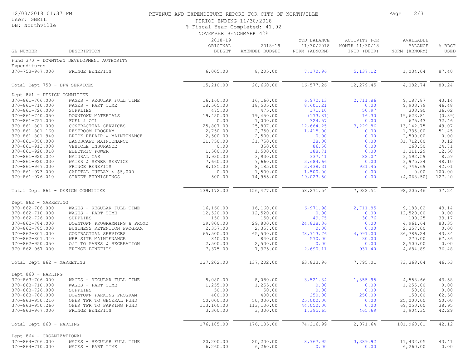| 12/03/2018 01:37 PM<br>User: GBELL<br>DB: Northville |                                                | REVENUE AND EXPENDITURE REPORT FOR CITY OF NORTHVILLE<br>PERIOD ENDING 11/30/2018<br>% Fiscal Year Completed: 41.92<br>NOVEMBER BENCHMARK 42% |                               | 2/3<br>Page                                |                                               |                                              |                |
|------------------------------------------------------|------------------------------------------------|-----------------------------------------------------------------------------------------------------------------------------------------------|-------------------------------|--------------------------------------------|-----------------------------------------------|----------------------------------------------|----------------|
| GL NUMBER                                            | DESCRIPTION                                    | $2018 - 19$<br>ORIGINAL<br><b>BUDGET</b>                                                                                                      | $2018 - 19$<br>AMENDED BUDGET | YTD BALANCE<br>11/30/2018<br>NORM (ABNORM) | ACTIVITY FOR<br>MONTH 11/30/18<br>INCR (DECR) | AVAILABLE<br><b>BALANCE</b><br>NORM (ABNORM) | % BDGT<br>USED |
|                                                      | Fund 370 - DOWNTOWN DEVELOPMENT AUTHORITY      |                                                                                                                                               |                               |                                            |                                               |                                              |                |
| Expenditures                                         |                                                |                                                                                                                                               |                               |                                            |                                               |                                              |                |
| 370-753-967.000                                      | FRINGE BENEFITS                                | 6,005.00                                                                                                                                      | 8,205.00                      | 7,170.96                                   | 5, 137. 12                                    | 1,034.04                                     | 87.40          |
| Total Dept 753 - DPW SERVICES                        |                                                | 15,210.00                                                                                                                                     | 20,660.00                     | 16,577.26                                  | 12,279.45                                     | 4,082.74                                     | 80.24          |
| Dept 861 - DESIGN COMMITTEE                          |                                                |                                                                                                                                               |                               |                                            |                                               |                                              |                |
| 370-861-706.000                                      | WAGES - REGULAR FULL TIME                      | 16,160.00                                                                                                                                     | 16,160.00                     | 6,972.13                                   | 2,711.86                                      | 9,187.87                                     | 43.14          |
| 370-861-710.000                                      | WAGES - PART TIME                              | 18,505.00                                                                                                                                     | 18,505.00                     | 8,601.21                                   | 0.00                                          | 9,903.79                                     | 46.48          |
| 370-861-726.000                                      | SUPPLIES                                       | 475.00                                                                                                                                        | 475.00                        | 171.10                                     | 50.97                                         | 303.90                                       | 36.02          |
| 370-861-740.050                                      | DOWNTOWN MATERIALS                             | 19,450.00                                                                                                                                     | 19,450.00                     | (173.81)                                   | 16.30                                         | 19,623.81                                    | (0.89)         |
| 370-861-751.000                                      | FUEL & OIL                                     | 0.00<br>25,807.00                                                                                                                             | 1,000.00                      | 324.57                                     | 0.00                                          | 675.43                                       | 32.46          |
| 370-861-801.000<br>370-861-801.160                   | CONTRACTUAL SERVICES                           | 2,750.00                                                                                                                                      | 25,807.00<br>2,750.00         | 12,664.25<br>1,415.00                      | 3,229.86<br>0.00                              | 13, 142. 75<br>1,335.00                      | 49.07<br>51.45 |
| 370-861-801.940                                      | RESTROOM PROGRAM<br>BRICK REPAIR & MAINTENANCE | 2,500.00                                                                                                                                      | 2,500.00                      | 0.00                                       | 0.00                                          | 2,500.00                                     | 0.00           |
| 370-861-850.000                                      | LANDSCAPE MAINTENANCE                          | 31,750.00                                                                                                                                     | 31,750.00                     | 38.00                                      | 0.00                                          | 31,712.00                                    | 0.12           |
| 370-861-913.000                                      | VEHICLE INSURANCE                              | 0.00                                                                                                                                          | 350.00                        | 86.50                                      | 0.00                                          | 263.50                                       | 24.71          |
| 370-861-920.010                                      | ELECTRIC POWER                                 | 1,500.00                                                                                                                                      | 1,500.00                      | 188.71                                     | 0.00                                          | 1,311.29                                     | 12.58          |
| 370-861-920.020                                      | NATURAL GAS                                    | 3,930.00                                                                                                                                      | 3,930.00                      | 337.41                                     | 88.07                                         | 3,592.59                                     | 8.59           |
| 370-861-920.030                                      | WATER & SEWER SERVICE                          | 7,660.00                                                                                                                                      | 7,660.00                      | 3,684.66                                   | 0.00                                          | 3,975.34                                     | 48.10          |
| 370-861-967.000                                      | FRINGE BENEFITS                                | 8,185.00                                                                                                                                      | 8,185.00                      | 3,438.31                                   | 931.45                                        | 4,746.69                                     | 42.01          |
| 370-861-973.000                                      | CAPITAL OUTLAY $<$ \$5,000                     | 0.00                                                                                                                                          | 1,500.00                      | 1,500.00                                   | 0.00                                          | 0.00                                         | 100.00         |
| 370-861-976.010                                      | STREET FURNISHINGS                             | 500.00                                                                                                                                        | 14,955.00                     | 19,023.50                                  | 0.00                                          | (4, 068, 50)                                 | 127.20         |
| Total Dept 861 - DESIGN COMMITTEE                    |                                                | 139,172.00                                                                                                                                    | 156,477.00                    | 58, 271.54                                 | 7,028.51                                      | 98,205.46                                    | 37.24          |
| Dept 862 - MARKETING                                 |                                                |                                                                                                                                               |                               |                                            |                                               |                                              |                |
| 370-862-706.000                                      | WAGES - REGULAR FULL TIME                      | 16,160.00                                                                                                                                     | 16,160.00                     | 6,971.98                                   | 2,711.85                                      | 9,188.02                                     | 43.14          |
| 370-862-710.000                                      | WAGES - PART TIME                              | 12,520.00                                                                                                                                     | 12,520.00                     | 0.00                                       | 0.00                                          | 12,520.00                                    | 0.00           |
| 370-862-726.000                                      | SUPPLIES                                       | 150.00                                                                                                                                        | 150.00                        | 49.75                                      | 30.76                                         | 100.25                                       | 33.17          |
| 370-862-784.000                                      | DOWNTOWN PROGRAMMING & PROMO                   | 29,800.00                                                                                                                                     | 29,800.00                     | 24,838.36                                  | 0.00                                          | 4,961.64                                     | 83.35          |
| 370-862-785.000                                      | BUSINESS RETENTION PROGRAM                     | 2,357.00                                                                                                                                      | 2,357.00                      | 0.00                                       | 0.00                                          | 2,357.00                                     | 0.00           |
| 370-862-801.000                                      | CONTRACTUAL SERVICES                           | 65,500.00                                                                                                                                     | 65,500.00                     | 28,713.76                                  | 4,091.00                                      | 36,786.24                                    | 43.84          |
| 370-862-801.340                                      | WEB SITE MAINTENANCE                           | 840.00                                                                                                                                        | 840.00                        | 570.00                                     | 30.00                                         | 270.00                                       | 67.86          |
| $370 - 862 - 950.050$                                | O/T TO PARKS & RECREATION                      | 2,500.00                                                                                                                                      | 2,500.00                      | 0.00                                       | 0.00                                          | 2,500.00                                     | 0.00           |
| $370 - 862 - 967.000$                                | FRINGE BENEFITS                                | 7,375.00                                                                                                                                      | 7,375.00                      | 2,690.11                                   | 931.40                                        | 4,684.89                                     | 36.48          |
| Total Dept 862 - MARKETING                           |                                                | 137,202.00                                                                                                                                    | 137,202.00                    | 63,833.96                                  | 7,795.01                                      | 73,368.04                                    | 46.53          |
| Dept 863 - PARKING                                   |                                                |                                                                                                                                               |                               |                                            |                                               |                                              |                |
| 370-863-706.000                                      | WAGES - REGULAR FULL TIME                      | 8,080.00                                                                                                                                      | 8,080.00                      | 3,521.34                                   | 1,355.95                                      | 4,558.66                                     | 43.58          |
| 370-863-710.000                                      | WAGES - PART TIME                              | 1,255.00                                                                                                                                      | 1,255.00                      | 0.00                                       | 0.00                                          | 1,255.00                                     | 0.00           |
| 370-863-726.000                                      | SUPPLIES                                       | 50.00                                                                                                                                         | 50.00                         | 0.00                                       | 0.00                                          | 50.00                                        | 0.00           |
| 370-863-786.000                                      | DOWNTOWN PARKING PROGRAM                       | 400.00                                                                                                                                        | 400.00                        | 250.00                                     | 250.00                                        | 150.00                                       | 62.50          |
| 370-863-950.210                                      | OPER TFR TO GENERAL FUND                       | 50,000.00                                                                                                                                     | 50,000.00                     | 25,000.00                                  | 0.00                                          | 25,000.00                                    | 50.00          |
| 370-863-950.260                                      | OPER TFR TO PARKING FUND                       | 113,100.00                                                                                                                                    | 113,100.00                    | 44,050.00                                  | 0.00                                          | 69,050.00                                    | 38.95          |
| 370-863-967.000                                      | FRINGE BENEFITS                                | 3,300.00                                                                                                                                      | 3,300.00                      | 1,395.65                                   | 465.69                                        | 1,904.35                                     | 42.29          |
| Total Dept 863 - PARKING                             |                                                | 176,185.00                                                                                                                                    | 176,185.00                    | 74,216.99                                  | 2,071.64                                      | 101,968.01                                   | 42.12          |
| Dept 864 - ORGANIZATIONAL                            |                                                |                                                                                                                                               |                               |                                            |                                               |                                              |                |
| 370-864-706.000                                      | WAGES - REGULAR FULL TIME                      | 20,200.00                                                                                                                                     | 20,200.00                     | 8,767.95                                   | 3,389.92                                      | 11,432.05                                    | 43.41          |
| 370-864-710.000                                      | WAGES - PART TIME                              | 6, 260.00                                                                                                                                     | 6, 260.00                     | 0.00                                       | 0.00                                          | 6, 260.00                                    | 0.00           |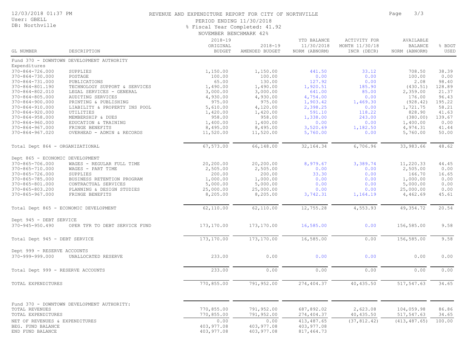### 12/03/2018 01:37 PM

#### User: GBELL DB: Northville

### REVENUE AND EXPENDITURE REPORT FOR CITY OF NORTHVILLE **FOR SALACTE 1999** Page 3/3

PERIOD ENDING 11/30/2018

NOVEMBER BENCHMARK 42% % Fiscal Year Completed: 41.92

| GL NUMBER                                                               | DESCRIPTION                                                                 | $2018 - 19$<br>ORIGINAL<br><b>BUDGET</b> | $2018 - 19$<br>AMENDED BUDGET      | YTD BALANCE<br>11/30/2018<br>NORM (ABNORM) | <b>ACTIVITY FOR</b><br>MONTH 11/30/18<br>INCR (DECR) | AVAILABLE<br><b>BALANCE</b><br>NORM (ABNORM) | % BDGT<br>USED           |
|-------------------------------------------------------------------------|-----------------------------------------------------------------------------|------------------------------------------|------------------------------------|--------------------------------------------|------------------------------------------------------|----------------------------------------------|--------------------------|
|                                                                         | Fund 370 - DOWNTOWN DEVELOPMENT AUTHORITY                                   |                                          |                                    |                                            |                                                      |                                              |                          |
| Expenditures<br>$370 - 864 - 726.000$<br>370-864-730.000                | SUPPLIES<br>POSTAGE                                                         | 1,150.00<br>100.00                       | 1,150.00<br>100.00                 | 441.50<br>0.00                             | 33.12<br>0.00                                        | 708.50<br>100.00                             | 38.39<br>0.00            |
| 370-864-731.000<br>370-864-801.190<br>370-864-802.010                   | PUBLICATIONS<br>TECHNOLOGY SUPPORT & SERVICES<br>LEGAL SERVICES - GENERAL   | 65.00<br>1,490.00<br>3,000.00            | 130.00<br>1,490.00<br>3,000.00     | 127.92<br>1,920.51<br>641.00               | 0.00<br>185.90<br>85.00                              | 2.08<br>(430.51)<br>2,359.00                 | 98.40<br>128.89<br>21.37 |
| $370 - 864 - 805.000$<br>$370 - 864 - 900.000$<br>370-864-910.000       | AUDITING SERVICES<br>PRINTING & PUBLISHING<br>LIABILITY & PROPERTY INS POOL | 4,930.00<br>975.00<br>5,610.00           | 4,930.00<br>975.00<br>4,120.00     | 4,754.00<br>1,903.42<br>2,398.25           | 0.00<br>1,469.30<br>0.00                             | 176.00<br>(928.42)<br>1,721.75               | 96.43<br>195.22<br>58.21 |
| $370 - 864 - 920.000$<br>$370 - 864 - 958.000$<br>$370 - 864 - 960.000$ | UTILITIES<br>MEMBERSHIP & DUES<br>EDUCATION & TRAINING                      | 1,420.00<br>958.00<br>1,400.00           | 1,420.00<br>958.00<br>1,400.00     | 591.10<br>1,338.00<br>0.00                 | 118.22<br>243.00<br>0.00                             | 828.90<br>(380.00)<br>1,400.00               | 41.63<br>139.67<br>0.00  |
| $370 - 864 - 967.000$<br>$370 - 864 - 967.020$                          | FRINGE BENEFITS<br>OVERHEAD - ADMIN & RECORDS                               | 8,495.00<br>11,520.00                    | 8,495.00<br>11,520.00              | 3,520.69<br>5,760.00                       | 1,182.50<br>0.00                                     | 4,974.31<br>5,760.00                         | 41.44<br>50.00           |
| Total Dept 864 - ORGANIZATIONAL                                         |                                                                             | 67,573.00                                | 66,148.00                          | 32, 164.34                                 | 6,706.96                                             | 33,983.66                                    | 48.62                    |
| Dept 865 - ECONOMIC DEVELOPMENT<br>370-865-706.000                      | WAGES - REGULAR FULL TIME                                                   | 20,200.00                                | 20,200.00                          | 8,979.67                                   | 3,389.74                                             | 11,220.33                                    | 44.45                    |
| 370-865-710.000<br>370-865-726.000<br>370-865-785.000                   | WAGES - PART TIME<br>SUPPLIES<br>BUSINESS RETENTION PROGRAM                 | 2,505.00<br>200.00<br>1,000.00           | 2,505.00<br>200.00<br>1,000.00     | 0.00<br>33.30<br>0.00                      | 0.00<br>0.00<br>0.00                                 | 2,505.00<br>166.70<br>1,000.00               | 0.00<br>16.65<br>0.00    |
| 370-865-801.000<br>370-865-803.200<br>370-865-967.000                   | CONTRACTUAL SERVICES<br>PLANNING & DESIGN STUDIES<br>FRINGE BENEFITS        | 5,000.00<br>25,000.00<br>8,205.00        | 5,000.00<br>25,000.00<br>8,205.00  | 0.00<br>0.00<br>3,742.31                   | 0.00<br>0.00<br>1,164.19                             | 5,000.00<br>25,000.00<br>4,462.69            | 0.00<br>0.00<br>45.61    |
|                                                                         | Total Dept 865 - ECONOMIC DEVELOPMENT                                       | 62,110.00                                | 62,110.00                          | 12,755.28                                  | 4,553.93                                             | 49, 354.72                                   | 20.54                    |
| Dept 945 - DEBT SERVICE<br>$370 - 945 - 950.490$                        | OPER TFR TO DEBT SERVICE FUND                                               | 173,170.00                               | 173,170.00                         | 16,585.00                                  | 0.00                                                 | 156,585.00                                   | 9.58                     |
| Total Dept 945 - DEBT SERVICE                                           |                                                                             | 173,170.00                               | 173,170.00                         | 16,585.00                                  | 0.00                                                 | 156,585.00                                   | 9.58                     |
| Dept 999 - RESERVE ACCOUNTS<br>370-999-999.000                          | UNALLOCATED RESERVE                                                         | 233.00                                   | 0.00                               | 0.00                                       | 0.00                                                 | 0.00                                         | 0.00                     |
| Total Dept 999 - RESERVE ACCOUNTS                                       |                                                                             | 233.00                                   | 0.00                               | 0.00                                       | 0.00                                                 | 0.00                                         | 0.00                     |
| TOTAL EXPENDITURES                                                      |                                                                             | 770,855.00                               | 791,952.00                         | 274, 404.37                                | 40,435.50                                            | 517,547.63                                   | 34.65                    |
| TOTAL REVENUES<br>TOTAL EXPENDITURES                                    | Fund 370 - DOWNTOWN DEVELOPMENT AUTHORITY:                                  | 770,855.00<br>770,855.00                 | 791,952.00<br>791,952.00           | 687,892.02<br>274, 404.37                  | 2,623.08<br>40, 435.50                               | 104,059.98<br>517,547.63                     | 86.86<br>34.65           |
| NET OF REVENUES & EXPENDITURES<br>BEG. FUND BALANCE<br>END FUND BALANCE |                                                                             | 0.00<br>403, 977.08<br>403, 977.08       | 0.00<br>403, 977.08<br>403, 977.08 | 413, 487.65<br>403, 977.08<br>817, 464.73  | (37, 812.42)                                         | (413, 487.65)                                | 100.00                   |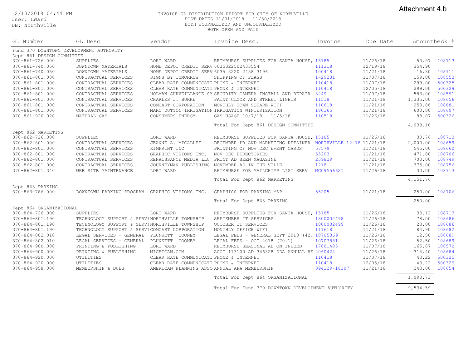Attachment 4.b

User: LWard DB: Northville

#### 12/13/2018 04:44 PM INVOICE GL DISTRIBUTION REPORT FOR CITY OF NORTHVILLE POST DATES 11/01/2018 - 11/30/2018 BOTH JOURNALIZED AND UNJOURNALIZED BOTH OPEN AND PAID

| GL Number                                          | GL Desc                                       | Vendor                                     | Invoice Desc.                                                  | Invoice      | Due Date | Amountheck # |        |
|----------------------------------------------------|-----------------------------------------------|--------------------------------------------|----------------------------------------------------------------|--------------|----------|--------------|--------|
|                                                    | Fund 370 DOWNTOWN DEVELOPMENT AUTHORITY       |                                            |                                                                |              |          |              |        |
| Dept 861 DESIGN COMMITTEE<br>$370 - 861 - 726.000$ | SUPPLIES                                      | LORI WARD                                  | REIMBURSE SUPPLIES FOR SANTA HOUSE, 15185                      |              | 11/26/18 | 50.97        | 108713 |
| 370-861-740.050                                    | DOWNTOWN MATERIALS                            | HOME DEPOT CREDIT SERV 6035322502433554    |                                                                | 111318       | 12/19/18 | 354.90       |        |
| $370 - 861 - 740.050$                              | DOWNTOWN MATERIALS                            | HOME DEPOT CREDIT SERV 6035 3220 2438 3196 |                                                                | 100418       | 11/21/18 | 16.30        | 108711 |
| 370-861-801.000                                    | CONTRACTUAL SERVICES                          | SIGNS BY TOMORROW                          | SHIPPING OF FLAGS                                              | $1 - 29231$  | 11/07/18 | 159.00       | 108553 |
| 370-861-801.000                                    | CONTRACTUAL SERVICES                          | CLEAR RATE COMMUNICATI PHONE & INTERNET    |                                                                | 110418       | 11/07/18 | 299.00       | 500325 |
| 370-861-801.000                                    | CONTRACTUAL SERVICES                          | CLEAR RATE COMMUNICATI PHONE & INTERNET    |                                                                | 110418       | 12/05/18 | 299.00       | 500329 |
| $370 - 861 - 801.000$                              | CONTRACTUAL SERVICES                          |                                            | HOLMAN SURVEILLANCE SY SECURITY CAMERA INSTALL AND REPAIR 3249 |              | 11/07/18 | 583.00       | 108591 |
| 370-861-801.000                                    | CONTRACTUAL SERVICES                          | CHARLES J. BURKE                           | PAINT CLOCK AND STREET LIGHTS                                  | 11518        | 11/21/18 | 1,335.00     | 108656 |
| 370-861-801.000                                    | CONTRACTUAL SERVICES                          | COMCAST CORPORATION                        | MONTHLY TOWN SQUARE WIFI                                       | 110618       | 11/21/18 | 253.86       | 108681 |
| 370-861-801.000                                    | CONTRACTUAL SERVICES                          |                                            | MARC DUTTON IRRIGATION IRRIGATION WINTERIZATION                | 180165       | 11/21/18 | 600.00       | 108697 |
| $370 - 861 - 920.020$                              | NATURAL GAS                                   | CONSUMERS ENERGY                           | GAS USAGE 10/7/18 - 11/5/18                                    | 110518       | 11/26/18 | 88.07        | 500326 |
|                                                    |                                               |                                            | Total For Dept 861 DESIGN COMMITTEE                            |              |          | 4,039.10     |        |
| Dept 862 MARKETING                                 |                                               |                                            |                                                                |              |          |              |        |
| $370 - 862 - 726.000$                              | SUPPLIES                                      | LORI WARD                                  | REIMBURSE SUPPLIES FOR SANTA HOUSE, 15185                      |              | 11/26/18 | 30.76        | 108713 |
| 370-862-801.000                                    | CONTRACTUAL SERVICES                          | JEANNE A. MICALLEF                         | DECEMBER PR AND MARKETING RETAINER NORTHVILLE 12-18 11/21/18   |              |          | 2,000.00     | 108659 |
| 370-862-801.000                                    | CONTRACTUAL SERVICES                          | KIMPRINT INC                               | PRINTING OF NOV DEC EVENT CARDS                                | 57579        | 11/21/18 | 545.00       | 108660 |
| 370-862-801.000                                    | CONTRACTUAL SERVICES                          | GRAPHIC VISIONS INC.                       | NOV DEC DIRECTORIES                                            | 55203        | 11/21/18 | 471.00       | 108706 |
| 370-862-801.000                                    | CONTRACTUAL SERVICES                          | RENAISSANCE MEDIA LLC                      | PRINT AD SEEN MAGAZINE                                         | 259829       | 11/21/18 | 700.00       | 108749 |
| 370-862-801.000                                    | CONTRACTUAL SERVICES                          |                                            | JOURNEYMAN PUBLISHING NOVEMBER AD IN THE VILLE                 | 1218         | 11/21/18 | 375.00       | 108756 |
| 370-862-801.340                                    | WEB SITE MAINTENANCE                          | LORI WARD                                  | REIMBURSE FOR MAILCHIMP LIST SERV                              | MC09556621   | 11/26/18 | 30.00        | 108713 |
|                                                    |                                               |                                            | Total For Dept 862 MARKETING                                   |              |          | 4,151.76     |        |
| Dept 863 PARKING                                   |                                               |                                            |                                                                |              |          |              |        |
| 370-863-786.000                                    | DOWNTOWN PARKING PROGRAM GRAPHIC VISIONS INC. |                                            | GRAPHICS FOR PARKING MAP                                       | 55205        | 11/21/18 | 250.00       | 108706 |
|                                                    |                                               |                                            | Total For Dept 863 PARKING                                     |              |          | 250.00       |        |
| Dept 864 ORGANIZATIONAL                            |                                               |                                            |                                                                |              |          |              |        |
| $370 - 864 - 726.000$                              | SUPPLIES                                      | LORI WARD                                  | REIMBURSE SUPPLIES FOR SANTA HOUSE, 15185                      |              | 11/26/18 | 33.12        | 108713 |
| 370-864-801.190                                    | TECHNOLOGY SUPPORT & SERVINORTHVILLE TOWNSHIP |                                            | SEPTEMBER IT SERVICES                                          | 1800002498   | 11/26/18 | 78.00        | 108686 |
| 370-864-801.190                                    | TECHNOLOGY SUPPORT & SERVINORTHVILLE TOWNSHIP |                                            | OCTOBER IT SERVICES                                            | 1800002499   | 11/26/18 | 23.00        | 108686 |
| 370-864-801.190                                    | TECHNOLOGY SUPPORT & SERVICOMCAST CORPORATION |                                            | MONTHLY OFFICE WIFI                                            | 111618       | 11/21/18 | 84.90        | 108682 |
| 370-864-802.010                                    | LEGAL SERVICES - GENERAL                      | PLUNKETT COONEY                            | LEGAL FEES - GENERAL SEPT 2018 (42. 10705369                   |              | 11/26/18 | 12.50        | 108689 |
| 370-864-802.010                                    | LEGAL SERVICES - GENERAL PLUNKETT COONEY      |                                            | LEGAL FEES - OCT 2018 (70.1)                                   | 10707881     | 11/26/18 | 52.50        | 108689 |
| $370 - 864 - 900.000$                              | PRINTING & PUBLISHING                         | LORI WARD                                  | REIMBURSE SEASONAL AD ON INDEED                                | 17881405     | 11/07/18 | 165.87       | 108572 |
| $370 - 864 - 900.000$                              | PRINTING & PUBLISHING                         | MICHIGAN.COM                               | ACCT 113100 AD 346328 DDA ANNUAL RE 2060424                    |              | 11/26/18 | 314.40       | 108684 |
| $370 - 864 - 920.000$                              | UTILITIES                                     | CLEAR RATE COMMUNICATI PHONE & INTERNET    |                                                                | 110418       | 11/07/18 | 43.22        | 500325 |
| $370 - 864 - 920.000$                              | UTILITIES                                     | CLEAR RATE COMMUNICATI PHONE & INTERNET    |                                                                | 110418       | 12/05/18 | 43.22        | 500329 |
| $370 - 864 - 958.000$                              | MEMBERSHIP & DUES                             |                                            | AMERICAN PLANNING ASSO ANNUAL APA MEMBERSHIP                   | 094129-18107 | 11/21/18 | 243.00       | 108654 |
|                                                    |                                               |                                            | Total For Dept 864 ORGANIZATIONAL                              |              |          | 1,093.73     |        |
|                                                    |                                               |                                            |                                                                |              |          |              |        |

Total For Fund 370 DOWNTOWN DEVELOPMENT AUTHORITY 9,534.59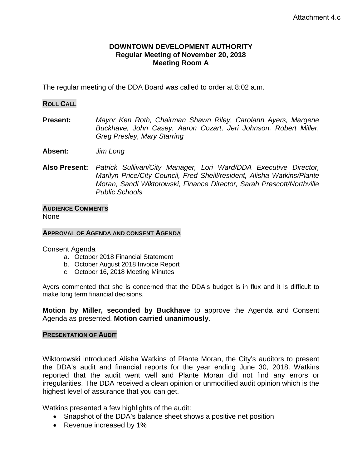# **DOWNTOWN DEVELOPMENT AUTHORITY Regular Meeting of November 20, 2018 Meeting Room A**

The regular meeting of the DDA Board was called to order at 8:02 a.m.

## **ROLL CALL**

**Present:** *Mayor Ken Roth, Chairman Shawn Riley, Carolann Ayers, Margene Buckhave, John Casey, Aaron Cozart, Jeri Johnson, Robert Miller, Greg Presley, Mary Starring*

**Absent:** *Jim Long* 

**Also Present:** *Patrick Sullivan/City Manager, Lori Ward/DDA Executive Director, Marilyn Price/City Council, Fred Sheill/resident, Alisha Watkins/Plante Moran, Sandi Wiktorowski, Finance Director, Sarah Prescott/Northville Public Schools*

# **AUDIENCE COMMENTS**

None

### **APPROVAL OF AGENDA AND CONSENT AGENDA**

Consent Agenda

- a. October 2018 Financial Statement
- b. October August 2018 Invoice Report
- c. October 16, 2018 Meeting Minutes

Ayers commented that she is concerned that the DDA's budget is in flux and it is difficult to make long term financial decisions.

**Motion by Miller, seconded by Buckhave** to approve the Agenda and Consent Agenda as presented. **Motion carried unanimously**.

### **PRESENTATION OF AUDIT**

Wiktorowski introduced Alisha Watkins of Plante Moran, the City's auditors to present the DDA's audit and financial reports for the year ending June 30, 2018. Watkins reported that the audit went well and Plante Moran did not find any errors or irregularities. The DDA received a clean opinion or unmodified audit opinion which is the highest level of assurance that you can get.

Watkins presented a few highlights of the audit:

- Snapshot of the DDA's balance sheet shows a positive net position
- Revenue increased by 1%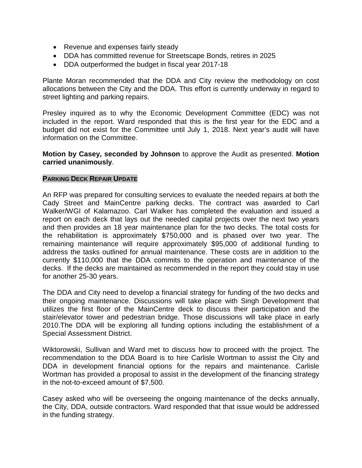- Revenue and expenses fairly steady
- DDA has committed revenue for Streetscape Bonds, retires in 2025
- DDA outperformed the budget in fiscal year 2017-18

Plante Moran recommended that the DDA and City review the methodology on cost allocations between the City and the DDA. This effort is currently underway in regard to street lighting and parking repairs.

Presley inquired as to why the Economic Development Committee (EDC) was not included in the report. Ward responded that this is the first year for the EDC and a budget did not exist for the Committee until July 1, 2018. Next year's audit will have information on the Committee.

# **Motion by Casey, seconded by Johnson** to approve the Audit as presented. **Motion carried unanimously**.

## **PARKING DECK REPAIR UPDATE**

An RFP was prepared for consulting services to evaluate the needed repairs at both the Cady Street and MainCentre parking decks. The contract was awarded to Carl Walker/WGI of Kalamazoo. Carl Walker has completed the evaluation and issued a report on each deck that lays out the needed capital projects over the next two years and then provides an 18 year maintenance plan for the two decks. The total costs for the rehabilitation is approximately \$750,000 and is phased over two year. The remaining maintenance will require approximately \$95,000 of additional funding to address the tasks outlined for annual maintenance. These costs are in addition to the currently \$110,000 that the DDA commits to the operation and maintenance of the decks. If the decks are maintained as recommended in the report they could stay in use for another 25-30 years.

The DDA and City need to develop a financial strategy for funding of the two decks and their ongoing maintenance. Discussions will take place with Singh Development that utilizes the first floor of the MainCentre deck to discuss their participation and the stair/elevator tower and pedestrian bridge. Those discussions will take place in early 2010.The DDA will be exploring all funding options including the establishment of a Special Assessment District.

Wiktorowski, Sullivan and Ward met to discuss how to proceed with the project. The recommendation to the DDA Board is to hire Carlisle Wortman to assist the City and DDA in development financial options for the repairs and maintenance. Carlisle Wortman has provided a proposal to assist in the development of the financing strategy in the not-to-exceed amount of \$7,500.

Casey asked who will be overseeing the ongoing maintenance of the decks annually, the City, DDA, outside contractors. Ward responded that that issue would be addressed in the funding strategy.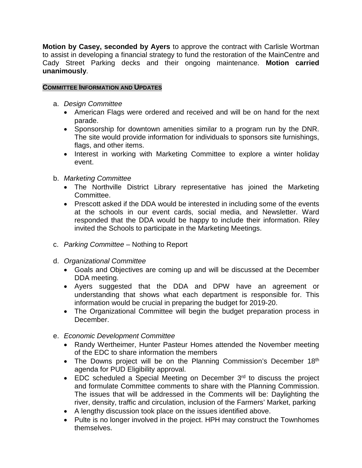**Motion by Casey, seconded by Ayers** to approve the contract with Carlisle Wortman to assist in developing a financial strategy to fund the restoration of the MainCentre and Cady Street Parking decks and their ongoing maintenance. **Motion carried unanimously**.

# **COMMITTEE INFORMATION AND UPDATES**

- a. *Design Committee*
	- American Flags were ordered and received and will be on hand for the next parade.
	- Sponsorship for downtown amenities similar to a program run by the DNR. The site would provide information for individuals to sponsors site furnishings, flags, and other items.
	- Interest in working with Marketing Committee to explore a winter holiday event.
- b. *Marketing Committee*
	- The Northville District Library representative has joined the Marketing Committee.
	- Prescott asked if the DDA would be interested in including some of the events at the schools in our event cards, social media, and Newsletter. Ward responded that the DDA would be happy to include their information. Riley invited the Schools to participate in the Marketing Meetings.
- c. *Parking Committee –* Nothing to Report
- d. *Organizational Committee*
	- Goals and Objectives are coming up and will be discussed at the December DDA meeting.
	- Ayers suggested that the DDA and DPW have an agreement or understanding that shows what each department is responsible for. This information would be crucial in preparing the budget for 2019-20.
	- The Organizational Committee will begin the budget preparation process in December.
- e. *Economic Development Committee*
	- Randy Wertheimer, Hunter Pasteur Homes attended the November meeting of the EDC to share information the members
	- The Downs project will be on the Planning Commission's December 18<sup>th</sup> agenda for PUD Eligibility approval.
	- EDC scheduled a Special Meeting on December 3<sup>rd</sup> to discuss the project and formulate Committee comments to share with the Planning Commission. The issues that will be addressed in the Comments will be: Daylighting the river, density, traffic and circulation, inclusion of the Farmers' Market, parking
	- A lengthy discussion took place on the issues identified above.
	- Pulte is no longer involved in the project. HPH may construct the Townhomes themselves.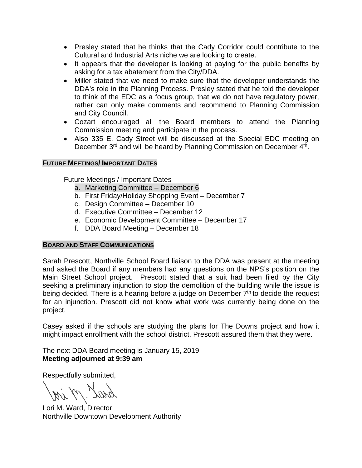- Presley stated that he thinks that the Cady Corridor could contribute to the Cultural and Industrial Arts niche we are looking to create.
- It appears that the developer is looking at paying for the public benefits by asking for a tax abatement from the City/DDA.
- Miller stated that we need to make sure that the developer understands the DDA's role in the Planning Process. Presley stated that he told the developer to think of the EDC as a focus group, that we do not have regulatory power, rather can only make comments and recommend to Planning Commission and City Council.
- Cozart encouraged all the Board members to attend the Planning Commission meeting and participate in the process.
- Also 335 E. Cady Street will be discussed at the Special EDC meeting on December 3<sup>rd</sup> and will be heard by Planning Commission on December 4<sup>th</sup>.

# **FUTURE MEETINGS/ IMPORTANT DATES**

Future Meetings / Important Dates

- a. Marketing Committee December 6
- b. First Friday/Holiday Shopping Event December 7
- c. Design Committee December 10
- d. Executive Committee December 12
- e. Economic Development Committee December 17
- f. DDA Board Meeting December 18

# **BOARD AND STAFF COMMUNICATIONS**

Sarah Prescott, Northville School Board liaison to the DDA was present at the meeting and asked the Board if any members had any questions on the NPS's position on the Main Street School project. Prescott stated that a suit had been filed by the City seeking a preliminary injunction to stop the demolition of the building while the issue is being decided. There is a hearing before a judge on December  $7<sup>th</sup>$  to decide the request for an injunction. Prescott did not know what work was currently being done on the project.

Casey asked if the schools are studying the plans for The Downs project and how it might impact enrollment with the school district. Prescott assured them that they were.

The next DDA Board meeting is January 15, 2019 **Meeting adjourned at 9:39 am**

Respectfully submitted,

Lori M. Ward, Director Northville Downtown Development Authority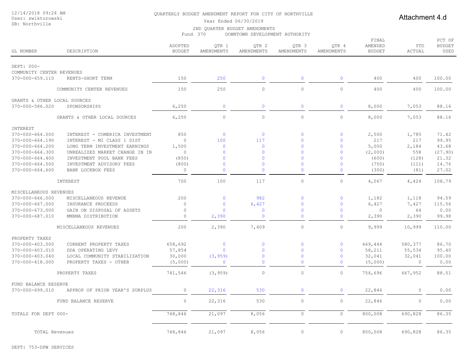### 12/14/2018 09:24 AM

#### User: swiktorowski DB: Northville

#### QUARTERLY BUDGET AMENDMENT REPORT FOR CITY OF NORTHVILLE

Attachment 4.d

### Year Ended 06/30/2019

#### 2ND QUARTER BUDGET AMENDMENTS

Fund 370 DOWNTOWN DEVELOPMENT AUTHORITY

| <b>GL NUMBER</b>                         | DESCRIPTION                                                  | ADOPTED<br><b>BUDGET</b> | QTR 1<br>AMENDMENTS | QTR 2<br>AMENDMENTS   | QTR <sub>3</sub><br>AMENDMENTS | QTR 4<br>AMENDMENTS         | FINAL<br>AMENDED<br><b>BUDGET</b> | YTD<br>ACTUAL | PCT OF<br><b>BUDGET</b><br>USED |
|------------------------------------------|--------------------------------------------------------------|--------------------------|---------------------|-----------------------|--------------------------------|-----------------------------|-----------------------------------|---------------|---------------------------------|
| DEPT: 000-                               |                                                              |                          |                     |                       |                                |                             |                                   |               |                                 |
| COMMUNITY CENTER REVENUES                |                                                              |                          |                     |                       |                                |                             |                                   |               |                                 |
| 370-000-659.110                          | RENTS-SHORT TERM                                             | 150                      | 250                 | $\mathbf 0$           | $\circ$                        | $\mathbf{0}$                | 400                               | 400           | 100.00                          |
|                                          | COMMUNITY CENTER REVENUES                                    | 150                      | 250                 | $\circ$               | $\circ$                        | $\circ$                     | 400                               | 400           | 100.00                          |
| GRANTS & OTHER LOCAL SOURCES             |                                                              |                          |                     |                       |                                |                             |                                   |               |                                 |
| 370-000-586.020                          | SPONSORSHIPS                                                 | 6,250                    | $\mathbf{0}$        | $\mathbf 0$           | $\mathbf{0}$                   | $\mathbf{0}$                | 8,000                             | 7,053         | 88.16                           |
|                                          | GRANTS & OTHER LOCAL SOURCES                                 | 6,250                    | $\circ$             | $\circ$               | $\circ$                        | $\circ$                     | 8,000                             | 7,053         | 88.16                           |
|                                          |                                                              |                          |                     |                       |                                |                             |                                   |               |                                 |
| INTEREST                                 |                                                              |                          |                     |                       |                                |                             |                                   |               |                                 |
| $370 - 000 - 664.000$<br>370-000-664.190 | INTEREST - COMERICA INVESTMENT<br>INTEREST - MI CLASS 1 DIST | 850<br>$\circ$           | $\mathbf 0$<br>100  | $\overline{0}$<br>117 | $\mathbf{0}$<br>$\mathbf{0}$   | $\mathbf 0$<br>$\mathbf{0}$ | 2,500<br>217                      | 1,785<br>217  | 71.42<br>99.95                  |
| 370-000-664.200                          | LONG TERM INVESTMENT EARNINGS                                | 1,500                    | $\mathbf{0}$        | $\mathbf 0$           | $\mathbf{0}$                   | $\Omega$                    | 5,000                             | 2,184         | 43.68                           |
| $370 - 000 - 664.300$                    | UNREALIZED MARKET CHANGE IN IN                               | $\circ$                  | $\mathbf{0}$        | $\mathbf 0$           | $\mathbf{0}$                   | $\mathbf 0$                 | (2,000)                           | 558           | (27.90)                         |
| $370 - 000 - 664.400$                    | INVESTMENT POOL BANK FEES                                    | (850)                    | $\mathbf{0}$        | $\mathbf{0}$          | $\mathbf{0}$                   | $\Omega$                    | (600)                             | (128)         | 21.32                           |
| 370-000-664.500                          | INVESTMENT ADVISORY FEES                                     | (800)                    | $\mathbf{0}$        | $\mathbf{0}$          | $\mathbf{0}$                   | $\mathbf{0}$                | (750)                             | (111)         | 14.76                           |
| $370 - 000 - 664.600$                    | BANK LOCKBOX FEES                                            | $\circ$                  | $\mathbf{0}$        | $\mathbf{0}$          | $\mathbf{0}$                   | $\mathbf{0}$                | (300)                             | (81)          | 27.02                           |
|                                          | INTEREST                                                     | 700                      | 100                 | 117                   | $\circ$                        | $\circ$                     | 4,067                             | 4,424         | 108.79                          |
| MISCELLANEOUS REVENUES                   |                                                              |                          |                     |                       |                                |                             |                                   |               |                                 |
| $370 - 000 - 666.000$                    | MISCELLANEOUS REVENUE                                        | 200                      | $\mathbf{0}$        | 982                   | $\circ$                        | $\mathbf{0}$                | 1,182                             | 1,118         | 94.59                           |
| $370 - 000 - 667.000$                    | INSURANCE PROCEEDS                                           | $\circ$                  | $\mathbf{0}$        | 6,427                 | $\mathbf{0}$                   | $\mathbf{0}$                | 6,427                             | 7,427         | 115.56                          |
| $370 - 000 - 673.000$                    | GAIN ON DISPOSAL OF ASSETS                                   | $\circ$                  | $\Omega$            | $\mathbf 0$           | $\mathbf{O}$                   | $\Omega$                    | $\circ$                           | 64            | 0.00                            |
| 370-000-687.010                          | MMRMA DISTRIBUTION                                           | $\circ$                  | 2,390               | $\mathbf{0}$          | $\mathbf{0}$                   | $\Omega$                    | 2,390                             | 2,390         | 99.98                           |
|                                          | MISCELLANEOUS REVENUES                                       | 200                      | 2,390               | 7,409                 | $\circ$                        | $\circ$                     | 9,999                             | 10,999        | 110.00                          |
| PROPERTY TAXES                           |                                                              |                          |                     |                       |                                |                             |                                   |               |                                 |
| 370-000-403.000                          | CURRENT PROPERTY TAXES                                       | 658,692                  | $\mathbf 0$         | $\mathbf 0$           | $\circ$                        | $\Omega$                    | 669,444                           | 580,377       | 86.70                           |
| 370-000-403.010                          | DDA OPERATING LEVY                                           | 57,854                   | $\Omega$            | $\mathbf{0}$          | $\overline{0}$                 | $\Omega$                    | 58,211                            | 55,534        | 95.40                           |
| $370 - 000 - 403.040$                    | LOCAL COMMUNITY STABILIZATION                                | 30,000                   | (3, 959)            | $\mathbf 0$           | $\mathbf{0}$                   | $\mathbf{0}$                | 32,041                            | 32,041        | 100.00                          |
| 370-000-418.000                          | PROPERTY TAXES - OTHER                                       | (5,000)                  | $\mathbf{0}$        | $\mathbf{0}$          | $\mathbf{0}$                   | $\Omega$                    | (5,000)                           | $\mathbf{0}$  | 0.00                            |
|                                          | PROPERTY TAXES                                               | 741,546                  | (3, 959)            | $\circ$               | $\circ$                        | $\circ$                     | 754,696                           | 667,952       | 88.51                           |
| FUND BALANCE RESERVE                     |                                                              |                          |                     |                       |                                |                             |                                   |               |                                 |
| $370 - 000 - 699.010$                    | APPROP OF PRIOR YEAR'S SURPLUS                               | $\circ$                  | 22,316              | 530                   | $\mathbf{0}$                   | $\mathbf{0}$                | 22,846                            | 0             | 0.00                            |
|                                          | FUND BALANCE RESERVE                                         | $\circ$                  | 22,316              | 530                   | $\circ$                        | $\circ$                     | 22,846                            | 0             | 0.00                            |
| TOTALS FOR DEPT 000-                     |                                                              | 748,846                  | 21,097              | 8,056                 | $\circ$                        | $\circ$                     | 800,008                           | 690,828       | 86.35                           |
|                                          |                                                              |                          |                     |                       |                                |                             |                                   |               |                                 |
| TOTAL Revenues                           |                                                              | 748,846                  | 21,097              | 8,056                 | $\circ$                        | $\circ$                     | 800,008                           | 690,828       | 86.35                           |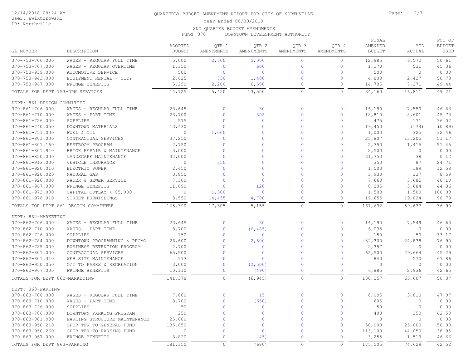### 12/14/2018 09:24 AM

### User: swiktorowski

DB: Northville

### QUARTERLY BUDGET AMENDMENT REPORT FOR CITY OF NORTHVILLE **FOR ALL PAGE:** 2/3

Year Ended 06/30/2019

### 2ND QUARTER BUDGET AMENDMENTS

Fund 370 DOWNTOWN DEVELOPMENT AUTHORITY

| GL NUMBER                        | DESCRIPTION                          | ADOPTED<br><b>BUDGET</b> | OTR 1<br>AMENDMENTS | OTR <sub>2</sub><br>AMENDMENTS | OTR <sub>3</sub><br>AMENDMENTS | OTR 4<br>AMENDMENTS | FINAL<br>AMENDED<br><b>BUDGET</b> | YTD<br>ACTUAL | PCT OF<br><b>BUDGET</b><br>USED |
|----------------------------------|--------------------------------------|--------------------------|---------------------|--------------------------------|--------------------------------|---------------------|-----------------------------------|---------------|---------------------------------|
| 370-753-706.000                  | WAGES - REGULAR FULL TIME            | 5,000                    | 2,500               | 5,000                          | $\mathbf{0}$                   | $\circ$             | 12,985                            | 6,572         | 50.61                           |
| 370-753-707.000                  | WAGES - REGULAR OVERTIME             | 1,350                    | $\mathbf{0}$        | 600                            | $\mathbf{0}$                   | $\circ$             | 1,170                             | 531           | 45.36                           |
| 370-753-939.000                  | AUTOMOTIVE SERVICE                   | 500                      | $\Omega$            | $\overline{0}$                 | $\mathbf{0}$                   | $\mathbf{0}$        | 500                               | $\circ$       | 0.00                            |
| 370-753-943.000                  | EQUIPMENT RENTAL - CITY              | 2,625                    | 750                 | 1,400                          | $\Omega$                       | $\mathbf 0$         | 4,800                             | 2,437         | 50.78                           |
| 370-753-967.000                  | FRINGE BENEFITS                      | 5,250                    | 2,200               | 6,500                          | $\Omega$                       | $\mathbf{0}$        | 14,705                            | 7,271         | 49.44                           |
| TOTALS FOR DEPT 753-DPW SERVICES |                                      | 14,725                   | 5,450               | 13,500                         | $\Omega$                       | $\circ$             | 34,160                            | 16,811        | 49.21                           |
| DEPT: 861-DESIGN COMMITTEE       |                                      |                          |                     |                                |                                |                     |                                   |               |                                 |
| 370-861-706.000                  | WAGES - REGULAR FULL TIME            | 23,645                   | $\mathbf{0}$        | 30                             | $\mathbf{0}$                   | $\mathbf{0}$        | 16,190                            | 7,550         | 46.63                           |
| 370-861-710.000                  | WAGES - PART TIME                    | 23,700                   | $\mathbf{0}$        | 305                            | $\Omega$                       | $\mathbf{0}$        | 18,810                            | 8,601         | 45.73                           |
| 370-861-726.000                  | SUPPLIES                             | 575                      | $\Omega$            | $\overline{0}$                 | $\Omega$                       | $\Omega$            | 475                               | 171           | 36.02                           |
| 370-861-740.050                  | DOWNTOWN MATERIALS                   | 13,430                   | $\Omega$            | $\overline{0}$                 | $\mathbf{0}$                   | $\mathbf{0}$        | 19,450                            | (174)         | (0.89)                          |
| 370-861-751.000                  | FUEL & OIL                           | $\circ$                  | 1,000               | $\mathbf{0}$                   | $\mathbf{0}$                   | $\mathbf 0$         | 1,000                             | 325           | 32.46                           |
| 370-861-801.000                  | CONTRACTUAL SERVICES                 | 37,250                   | $\mathbf{0}$        | $\mathbf 0$                    | $\Omega$                       | $\mathbf 0$         | 25,807                            | 13,205        | 51.17                           |
| 370-861-801.160                  | RESTROOM PROGRAM                     | 2,750                    | $\Omega$            | $\Omega$                       | $\Omega$                       | $\mathbf 0$         | 2,750                             | 1,415         | 51.45                           |
| 370-861-801.940                  | BRICK REPAIR & MAINTENANCE           | 3,000                    | $\Omega$            | $\Omega$                       | $\Omega$                       | $\Omega$            | 2,500                             | $\circ$       | 0.00                            |
| $370 - 861 - 850.000$            | LANDSCAPE MAINTENANCE                | 32,000                   | $\Omega$            | $\Omega$                       | $\Omega$                       | $\mathbf{0}$        | 31,750                            | 38            | 0.12                            |
| 370-861-913.000                  | VEHICLE INSURANCE                    | $\circ$                  | 350                 | $\overline{0}$                 | $\Omega$                       | $\mathbf{0}$        | 350                               | 87            | 24.71                           |
| 370-861-920.010                  | ELECTRIC POWER                       | 2,450                    | $\mathbf{0}$        | $\Omega$                       | $\Omega$                       | $\mathbf 0$         | 1,500                             | 189           | 12.58                           |
| 370-861-920.020                  | NATURAL GAS                          | 3,850                    | $\Omega$            | $\mathbf{0}$                   | $\Omega$                       | $\mathbf{0}$        | 3,930                             | 337           | 8.59                            |
| 370-861-920.030                  | WATER & SEWER SERVICE                | 7,300                    | $\Omega$            | $\overline{0}$                 | $\Omega$                       | $\Omega$            | 7,660                             | 3,685         | 48.10                           |
| $370 - 861 - 967.000$            | FRINGE BENEFITS                      | 11,890                   | $\mathbf{0}$        | 120                            | $\mathbf{0}$                   | $\mathbf 0$         | 8,305                             | 3,684         | 44.36                           |
| $370 - 861 - 973.000$            | CAPITAL OUTLAY $<$ \$5,000           | $\circ$                  | 1,500               | $\overline{0}$                 | $\Omega$                       | $\mathbf 0$         | 1,500                             | 1,500         | 100.00                          |
| 370-861-976.010                  | STREET FURNISHINGS                   | 3,550                    | 14,455              | 4,700                          | $\mathbf{0}$                   | $\mathbf 0$         | 19,655                            | 19,024        | 96.79                           |
|                                  | TOTALS FOR DEPT 861-DESIGN COMMITTEE | 165,390                  | 17,305              | 5,155                          | $\circ$                        | $\circ$             | 161,632                           | 59,637        | 36.90                           |
| DEPT: 862-MARKETING              |                                      |                          |                     |                                |                                |                     |                                   |               |                                 |
| 370-862-706.000                  | WAGES - REGULAR FULL TIME            | 23,645                   | $\mathbf{0}$        | 30                             | $\mathbf{0}$                   | $\mathbf{0}$        | 16,190                            | 7,549         | 46.63                           |
| 370-862-710.000                  | WAGES - PART TIME                    | 8,700                    | $\mathbf 0$         | (6, 485)                       | $\mathbf{0}$                   | $\mathbf 0$         | 6,035                             | 0             | 0.00                            |
| 370-862-726.000                  | SUPPLIES                             | 150                      | $\mathbf{0}$        | $\overline{0}$                 | $\Omega$                       | $\mathbf{0}$        | 150                               | 50            | 33.17                           |
| $370 - 862 - 784.000$            | DOWNTOWN PROGRAMMING & PROMO         | 26,600                   | $\mathbf{0}$        | 2,500                          | $\Omega$                       | $\mathbf{0}$        | 32,300                            | 24,838        | 76.90                           |
| 370-862-785.000                  | BUSINESS RETENTION PROGRAM           | 2,700                    | $\Omega$            | $\Omega$                       | $\Omega$                       | $\Omega$            | 2,357                             | $\circ$       | 0.00                            |
| 370-862-801.000                  | CONTRACTUAL SERVICES                 | 65,500                   | $\overline{0}$      | $\overline{0}$                 | $\Omega$                       | $\Omega$            | 65,500                            | 29,664        | 45.29                           |
| 370-862-801.340                  | WEB SITE MAINTENANCE                 | 973                      | $\Omega$            | $\Omega$                       | $\Omega$                       | $\Omega$            | 840                               | 570           | 67.86                           |
| $370 - 862 - 950.050$            | O/T TO PARKS & RECREATION            | 3,000                    | $\mathbf 0$         | (2, 500)                       | $\Omega$                       | $\circ$             | $\circ$                           | $\circ$       | 0.00                            |
| $370 - 862 - 967.000$            | FRINGE BENEFITS                      | 10,110                   | $\mathbf 0$         | (490)                          | $\mathbf{0}$                   | $\mathbf 0$         | 6,885                             | 2,936         | 42.65                           |
| TOTALS FOR DEPT 862-MARKETING    |                                      | 141,378                  | $\mathbb O$         | (6, 945)                       | $\circ$                        | $\circ$             | 130,257                           | 65,607        | 50.37                           |
| DEPT: 863-PARKING                |                                      |                          |                     |                                |                                |                     |                                   |               |                                 |
| 370-863-706.000                  | WAGES - REGULAR FULL TIME            | 7,880                    | $\mathbf 0$         | 15                             | $\Omega$                       | $\mathbf 0$         | 8,095                             | 3,810         | 47.07                           |
| 370-863-710.000                  | WAGES - PART TIME                    | 8,700                    | $\mathbf{0}$        | (650)                          | $\Omega$                       | $\mathbf{0}$        | 605                               | $\circ$       | 0.00                            |
| 370-863-726.000                  | SUPPLIES                             | 50                       | $\mathbf{0}$        | $\mathbf{0}$                   | $\Omega$                       | $\mathbf{0}$        | 50                                | $\circ$       | 0.00                            |
| 370-863-786.000                  | DOWNTOWN PARKING PROGRAM             | 250                      | $\mathbf{0}$        | $\overline{0}$                 | $\Omega$                       | $\Omega$            | 400                               | 250           | 62.50                           |
| 370-863-801.930                  | PARKING STRUCTURE MAINTENANCE        | 25,000                   | $\Omega$            | $\mathbf 0$                    | $\Omega$                       | $\Omega$            | $\circ$                           | $\Omega$      | 0.00                            |
| 370-863-950.210                  | OPER TFR TO GENERAL FUND             | 135,650                  | $\Omega$            | $\Omega$                       | $\Omega$                       | $\Omega$            | 50,000                            | 25,000        | 50.00                           |
| 370-863-950.260                  | OPER TFR TO PARKING FUND             | $\circ$                  | $\mathbf{0}$        | $\overline{0}$                 | $\Omega$                       | $\mathbf{0}$        | 113,100                           | 44,050        | 38.95                           |
| $370 - 863 - 967.000$            | FRINGE BENEFITS                      | 3,820                    | $\mathbf 0$         | (45)                           | $\mathbf{0}$                   | $\mathbf{0}$        | 3,255                             | 1,519         | 46.66                           |
| TOTALS FOR DEPT 863-PARKING      |                                      | 181,350                  | $\circ$             | (680)                          | $\circ$                        | $\circ$             | 175,505                           | 74,629        | 42.52                           |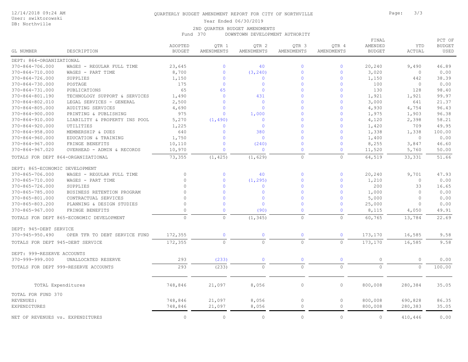#### User: swiktorowski DB: Northville

### QUARTERLY BUDGET AMENDMENT REPORT FOR CITY OF NORTHVILLE **Formulation** Page: 3/3

Year Ended 06/30/2019

#### 2ND QUARTER BUDGET AMENDMENTS

Fund 370 DOWNTOWN DEVELOPMENT AUTHORITY

| GL NUMBER                          | DESCRIPTION                              | ADOPTED<br><b>BUDGET</b> | QTR 1<br>AMENDMENTS | QTR 2<br>AMENDMENTS | QTR 3<br>AMENDMENTS | QTR 4<br>AMENDMENTS | FINAL<br>AMENDED<br><b>BUDGET</b> | YTD<br><b>ACTUAL</b> | PCT OF<br><b>BUDGET</b><br>USED |
|------------------------------------|------------------------------------------|--------------------------|---------------------|---------------------|---------------------|---------------------|-----------------------------------|----------------------|---------------------------------|
| DEPT: 864-ORGANIZATIONAL           |                                          |                          |                     |                     |                     |                     |                                   |                      |                                 |
| $370 - 864 - 706.000$              | WAGES - REGULAR FULL TIME                | 23,645                   | $\Omega$            | 40                  | $\overline{0}$      | $\mathbf 0$         | 20,240                            | 9,490                | 46.89                           |
| 370-864-710.000                    | WAGES - PART TIME                        | 8,700                    | $\mathbf 0$         | (3, 240)            | $\Omega$            | $\mathbf 0$         | 3,020                             | $\circledcirc$       | 0.00                            |
| $370 - 864 - 726.000$              | SUPPLIES                                 | 1,150                    | $\mathbf{0}$        | $\overline{0}$      | $\Omega$            | $\mathbf{0}$        | 1,150                             | 442                  | 38.39                           |
| 370-864-730.000                    | POSTAGE                                  | 175                      | $\mathbf{0}$        | $\mathbf{0}$        | $\Omega$            | $\mathbf{0}$        | 100                               | $\circ$              | 0.00                            |
| 370-864-731.000                    | PUBLICATIONS                             | 65                       | 65                  | $\overline{0}$      | $\Omega$            | $\mathbf 0$         | 130                               | 128                  | 98.40                           |
| 370-864-801.190                    | TECHNOLOGY SUPPORT & SERVICES            | 1,490                    | $\mathbf{0}$        | 431                 | $\Omega$            | $\overline{0}$      | 1,921                             | 1,921                | 99.97                           |
| 370-864-802.010                    | LEGAL SERVICES - GENERAL                 | 2,500                    | $\Omega$            | $\overline{0}$      | $\Omega$            | $\mathbf{0}$        | 3,000                             | 641                  | 21.37                           |
| $370 - 864 - 805.000$              | AUDITING SERVICES                        | 4,690                    | $\Omega$            | $\mathbf 0$         | $\Omega$            | $\mathbf 0$         | 4,930                             | 4,754                | 96.43                           |
| $370 - 864 - 900.000$              | PRINTING & PUBLISHING                    | 975                      | $\Omega$            | 1,000               | $\Omega$            | $\mathbf 0$         | 1,975                             | 1,903                | 96.38                           |
| $370 - 864 - 910.000$              | LIABILITY & PROPERTY INS POOL            | 5,270                    | (1, 490)            | $\overline{0}$      | $\Omega$            | $\mathbf{0}$        | 4,120                             | 2,398                | 58.21                           |
| $370 - 864 - 920.000$              | UTILITIES                                | 1,225                    | $\Omega$            | $\overline{0}$      | $\Omega$            | $\mathbf{0}$        | 1,420                             | 709                  | 49.95                           |
| $370 - 864 - 958.000$              | MEMBERSHIP & DUES                        | 640                      | $\mathbf{0}$        | 380                 | $\Omega$            | $\mathbf 0$         | 1,338                             | 1,338                | 100.00                          |
| $370 - 864 - 960.000$              | EDUCATION & TRAINING                     | 1,750                    | $\mathbf{0}$        | $\overline{0}$      | $\Omega$            | $\overline{0}$      | 1,400                             | $\circ$              | 0.00                            |
| $370 - 864 - 967.000$              | FRINGE BENEFITS                          | 10,110                   | $\Omega$            | (240)               | $\Omega$            | $\mathbf{0}$        | 8,255                             | 3,847                | 46.60                           |
| $370 - 864 - 967.020$              | OVERHEAD - ADMIN & RECORDS               | 10,970                   | $\mathbf 0$         | $\overline{0}$      | $\Omega$            | $\pmb{0}$           | 11,520                            | 5,760                | 50.00                           |
| TOTALS FOR DEPT 864-ORGANIZATIONAL |                                          | 73,355                   | (1, 425)            | (1, 629)            | $\circ$             | $\mathbb O$         | 64,519                            | 33, 331              | 51.66                           |
| DEPT: 865-ECONOMIC DEVELOPMENT     |                                          |                          |                     |                     |                     |                     |                                   |                      |                                 |
| 370-865-706.000                    | WAGES - REGULAR FULL TIME                | $\mathbf 0$              | $\circ$             | 40                  | $\Omega$            | $\mathbf 0$         | 20,240                            | 9,701                | 47.93                           |
| 370-865-710.000                    | WAGES - PART TIME                        | $\circ$                  | $\circ$             | (1, 295)            | $\overline{0}$      | $\mathbf 0$         | 1,210                             | $\circ$              | 0.00                            |
| $370 - 865 - 726.000$              | SUPPLIES                                 | $\Omega$                 | $\mathbf{0}$        | $\overline{0}$      | $\Omega$            | $\mathbf{0}$        | 200                               | 33                   | 16.65                           |
| 370-865-785.000                    | BUSINESS RETENTION PROGRAM               | $\Omega$                 | $\mathbf{0}$        | $\overline{0}$      | $\Omega$            | $\mathbf{0}$        | 1,000                             | $\circ$              | 0.00                            |
| 370-865-801.000                    | CONTRACTUAL SERVICES                     | $\Omega$                 | $\mathbf{0}$        | $\mathbf{0}$        | $\Omega$            | $\mathbf{0}$        | 5,000                             | $\circ$              | 0.00                            |
| $370 - 865 - 803.200$              | PLANNING & DESIGN STUDIES                | $\Omega$                 | $\Omega$            | $\mathbf 0$         | $\Omega$            | $\mathbf 0$         | 25,000                            | $\circ$              | 0.00                            |
| $370 - 865 - 967.000$              | FRINGE BENEFITS                          | $\Omega$                 | $\mathbf{0}$        | (90)                | $\Omega$            | $\mathbf 0$         | 8,115                             | 4,050                | 49.91                           |
|                                    | TOTALS FOR DEPT 865-ECONOMIC DEVELOPMENT | $\circ$                  | $\circ$             | (1, 345)            | $\Omega$            | $\mathbf{0}$        | 60,765                            | 13,784               | 22.69                           |
|                                    |                                          |                          |                     |                     |                     |                     |                                   |                      |                                 |
| DEPT: 945-DEBT SERVICE             |                                          |                          |                     |                     |                     |                     |                                   |                      |                                 |
| $370 - 945 - 950.490$              | OPER TFR TO DEBT SERVICE FUND            | 172,355                  | $\mathbf{0}$        | $\overline{0}$      | $\mathbf{0}$        | $\mathbf 0$         | 173,170                           | 16,585               | 9.58                            |
| TOTALS FOR DEPT 945-DEBT SERVICE   |                                          | 172,355                  | $\circ$             | $\circ$             | $\circ$             | $\mathbf{0}$        | 173,170                           | 16,585               | 9.58                            |
| DEPT: 999-RESERVE ACCOUNTS         |                                          |                          |                     |                     |                     |                     |                                   |                      |                                 |
| 370-999-999.000                    | UNALLOCATED RESERVE                      | 293                      | (233)               | $\overline{0}$      | $\Omega$            | $\mathbf{0}$        | $\circ$                           | $\circ$              | 0.00                            |
|                                    | TOTALS FOR DEPT 999-RESERVE ACCOUNTS     | 293                      | (233)               | $\circ$             | $\circ$             | $\circ$             | $\circ$                           | $\circ$              | 100.00                          |
|                                    |                                          |                          |                     |                     |                     |                     |                                   |                      |                                 |
| TOTAL Expenditures                 |                                          | 748,846                  | 21,097              | 8,056               | $\circ$             | $\circ$             | 800,008                           | 280,384              | 35.05                           |
| TOTAL FOR FUND 370                 |                                          |                          |                     |                     |                     |                     |                                   |                      |                                 |
| REVENUES:                          |                                          | 748,846                  | 21,097              | 8,056               | $\circ$             | $\circ$             | 800,008                           | 690,828              | 86.35                           |
| <b>EXPENDITURES</b>                |                                          | 748,846                  | 21,097              | 8,056               | $\circ$             | $\circ$             | 800,008                           | 280,383              | 35.05                           |
| NET OF REVENUES vs. EXPENDITURES   |                                          | $\circ$                  | $\bigcirc$          | $\circ$             | $\Omega$            | $\Omega$            | $\circ$                           | 410,446              | 0.00                            |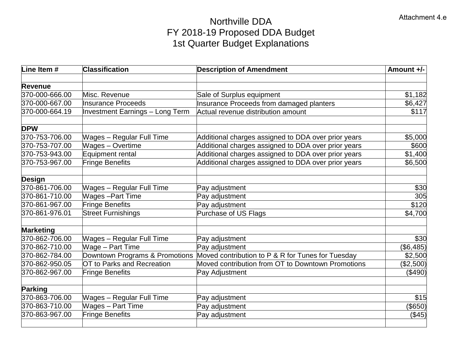# Northville DDA FY 2018-19 Proposed DDA Budget 1st Quarter Budget Explanations

| Line Item #      | <b>Classification</b>                  | <b>Description of Amendment</b>                     | Amount +/-   |
|------------------|----------------------------------------|-----------------------------------------------------|--------------|
| Revenue          |                                        |                                                     |              |
| 370-000-666.00   | Misc. Revenue                          | Sale of Surplus equipment                           | \$1,182      |
| 370-000-667.00   | Insurance Proceeds                     | <b>Insurance Proceeds from damaged planters</b>     | \$6,427      |
| 370-000-664.19   | <b>Investment Earnings - Long Term</b> | Actual revenue distribution amount                  | \$117        |
| <b>DPW</b>       |                                        |                                                     |              |
| 370-753-706.00   | <b>Wages - Regular Full Time</b>       | Additional charges assigned to DDA over prior years | \$5,000      |
| 370-753-707.00   | <b>Wages - Overtime</b>                | Additional charges assigned to DDA over prior years | \$600        |
| 370-753-943.00   | Equipment rental                       | Additional charges assigned to DDA over prior years | \$1,400      |
| 370-753-967.00   | <b>Fringe Benefits</b>                 | Additional charges assigned to DDA over prior years | \$6,500      |
| <b>Design</b>    |                                        |                                                     |              |
| 370-861-706.00   | <b>Wages - Regular Full Time</b>       | Pay adjustment                                      | \$30         |
| 370-861-710.00   | <b>Wages-Part Time</b>                 | Pay adjustment                                      | 305          |
| 370-861-967.00   | <b>Fringe Benefits</b>                 | Pay adjustment                                      | \$120        |
| 370-861-976.01   | <b>Street Furnishings</b>              | Purchase of US Flags                                | \$4,700      |
| <b>Marketing</b> |                                        |                                                     |              |
| 370-862-706.00   | <b>Wages - Regular Full Time</b>       | Pay adjustment                                      | \$30         |
| 370-862-710.00   | Wage - Part Time                       | Pay adjustment                                      | $($ \$6,485) |
| 370-862-784.00   | Downtown Programs & Promotions         | Moved contribution to P & R for Tunes for Tuesday   | \$2,500      |
| 370-862-950.05   | OT to Parks and Recreation             | Moved contribution from OT to Downtown Promotions   | (\$2,500)    |
| 370-862-967.00   | Fringe Benefits                        | Pay Adjustment                                      | (\$490)      |
| <b>Parking</b>   |                                        |                                                     |              |
| 370-863-706.00   | <b>Wages - Regular Full Time</b>       | Pay adjustment                                      | \$15         |
| 370-863-710.00   | <b>Wages - Part Time</b>               | Pay adjustment                                      | (\$650)      |
| 370-863-967.00   | Fringe Benefits                        | Pay adjustment                                      | (\$45)       |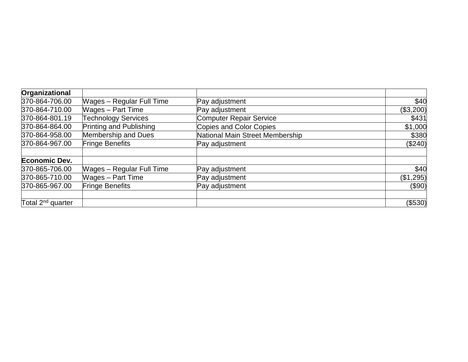| Organizational                |                                  |                                 |           |
|-------------------------------|----------------------------------|---------------------------------|-----------|
| 370-864-706.00                | <b>Wages - Regular Full Time</b> | Pay adjustment                  | \$40      |
| 370-864-710.00                | <b>Wages - Part Time</b>         | Pay adjustment                  | (\$3,200) |
| 370-864-801.19                | <b>Technology Services</b>       | <b>Computer Repair Service</b>  | \$431     |
| 370-864-864.00                | Printing and Publishing          | Copies and Color Copies         | \$1,000   |
| 370-864-958.00                | Membership and Dues              | National Main Street Membership | \$380     |
| 370-864-967.00                | <b>Fringe Benefits</b>           | Pay adjustment                  | (\$240)   |
| Economic Dev.                 |                                  |                                 |           |
| 370-865-706.00                | <b>Wages – Regular Full Time</b> | Pay adjustment                  | \$40      |
| 370-865-710.00                | <b>Wages - Part Time</b>         | Pay adjustment                  | (\$1,295) |
| 370-865-967.00                | <b>Fringe Benefits</b>           | Pay adjustment                  | (\$90)    |
| Total 2 <sup>nd</sup> quarter |                                  |                                 | (\$530)   |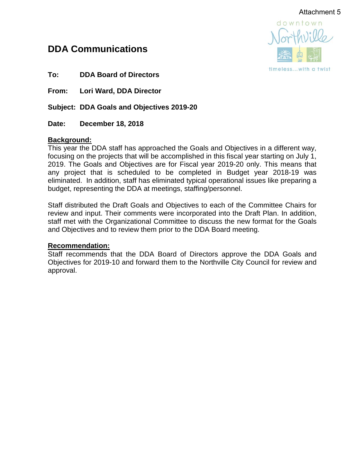# Attachment 5

# **DDA Communications**



**To: DDA Board of Directors**

**From: Lori Ward, DDA Director**

**Subject: DDA Goals and Objectives 2019-20**

**Date: December 18, 2018**

# **Background:**

This year the DDA staff has approached the Goals and Objectives in a different way, focusing on the projects that will be accomplished in this fiscal year starting on July 1, 2019. The Goals and Objectives are for Fiscal year 2019-20 only. This means that any project that is scheduled to be completed in Budget year 2018-19 was eliminated. In addition, staff has eliminated typical operational issues like preparing a budget, representing the DDA at meetings, staffing/personnel.

Staff distributed the Draft Goals and Objectives to each of the Committee Chairs for review and input. Their comments were incorporated into the Draft Plan. In addition, staff met with the Organizational Committee to discuss the new format for the Goals and Objectives and to review them prior to the DDA Board meeting.

## **Recommendation:**

Staff recommends that the DDA Board of Directors approve the DDA Goals and Objectives for 2019-10 and forward them to the Northville City Council for review and approval.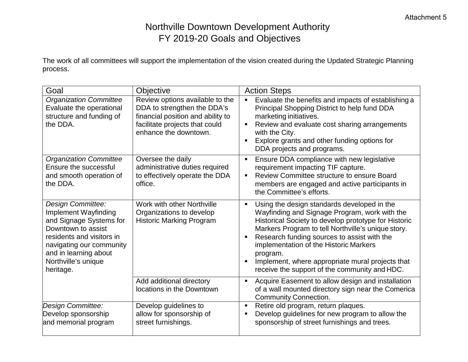# Northville Downtown Development Authority FY 2019-20 Goals and Objectives

The work of all committees will support the implementation of the vision created during the Updated Strategic Planning process.

| Goal                                                                                                                                                                                                             | <b>Objective</b>                                                                                                                                               | <b>Action Steps</b>                                                                                                                                                                                                                                                                                                                                                                                                                              |
|------------------------------------------------------------------------------------------------------------------------------------------------------------------------------------------------------------------|----------------------------------------------------------------------------------------------------------------------------------------------------------------|--------------------------------------------------------------------------------------------------------------------------------------------------------------------------------------------------------------------------------------------------------------------------------------------------------------------------------------------------------------------------------------------------------------------------------------------------|
| <b>Organization Committee</b><br>Evaluate the operational<br>structure and funding of<br>the DDA.                                                                                                                | Review options available to the<br>DDA to strengthen the DDA's<br>financial position and ability to<br>facilitate projects that could<br>enhance the downtown. | Evaluate the benefits and impacts of establishing a<br>Principal Shopping District to help fund DDA<br>marketing initiatives.<br>Review and evaluate cost sharing arrangements<br>Ξ<br>with the City.<br>Explore grants and other funding options for<br>٠<br>DDA projects and programs.                                                                                                                                                         |
| <b>Organization Committee</b><br>Ensure the successful<br>and smooth operation of<br>the DDA.                                                                                                                    | Oversee the daily<br>administrative duties required<br>to effectively operate the DDA<br>office.                                                               | Ensure DDA compliance with new legislative<br>п<br>requirement impacting TIF capture.<br>Review Committee structure to ensure Board<br>$\blacksquare$<br>members are engaged and active participants in<br>the Committee's efforts.                                                                                                                                                                                                              |
| Design Committee:<br>Implement Wayfinding<br>and Signage Systems for<br>Downtown to assist<br>residents and visitors in<br>navigating our community<br>and in learning about<br>Northville's unique<br>heritage. | Work with other Northville<br>Organizations to develop<br><b>Historic Marking Program</b>                                                                      | Using the design standards developed in the<br>$\blacksquare$<br>Wayfinding and Signage Program, work with the<br>Historical Society to develop prototype for Historic<br>Markers Program to tell Northville's unique story.<br>Research funding sources to assist with the<br>٠<br>implementation of the Historic Markers<br>program.<br>Implement, where appropriate mural projects that<br>Ξ<br>receive the support of the community and HDC. |
|                                                                                                                                                                                                                  | Add additional directory<br>locations in the Downtown                                                                                                          | Acquire Easement to allow design and installation<br>of a wall mounted directory sign near the Comerica<br><b>Community Connection.</b>                                                                                                                                                                                                                                                                                                          |
| Design Committee:<br>Develop sponsorship<br>and memorial program                                                                                                                                                 | Develop guidelines to<br>allow for sponsorship of<br>street furnishings.                                                                                       | Retire old program, return plaques.<br>$\blacksquare$<br>Develop guidelines for new program to allow the<br>٠<br>sponsorship of street furnishings and trees.                                                                                                                                                                                                                                                                                    |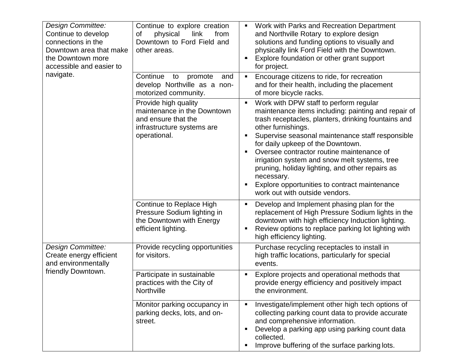| <b>Design Committee:</b><br>Continue to develop<br>connections in the<br>Downtown area that make<br>the Downtown more<br>accessible and easier to<br>navigate. | Continue to explore creation<br>of<br>physical<br>link<br>from<br>Downtown to Ford Field and<br>other areas.             | Work with Parks and Recreation Department<br>and Northville Rotary to explore design<br>solutions and funding options to visually and<br>physically link Ford Field with the Downtown.<br>Explore foundation or other grant support<br>for project.                                                                                                                                                                                                                                                                             |
|----------------------------------------------------------------------------------------------------------------------------------------------------------------|--------------------------------------------------------------------------------------------------------------------------|---------------------------------------------------------------------------------------------------------------------------------------------------------------------------------------------------------------------------------------------------------------------------------------------------------------------------------------------------------------------------------------------------------------------------------------------------------------------------------------------------------------------------------|
|                                                                                                                                                                | Continue<br>promote<br>to<br>and<br>develop Northville as a non-<br>motorized community.                                 | Encourage citizens to ride, for recreation<br>Ξ<br>and for their health, including the placement<br>of more bicycle racks.                                                                                                                                                                                                                                                                                                                                                                                                      |
|                                                                                                                                                                | Provide high quality<br>maintenance in the Downtown<br>and ensure that the<br>infrastructure systems are<br>operational. | Work with DPW staff to perform regular<br>п<br>maintenance items including: painting and repair of<br>trash receptacles, planters, drinking fountains and<br>other furnishings.<br>Supervise seasonal maintenance staff responsible<br>٠<br>for daily upkeep of the Downtown.<br>Oversee contractor routine maintenance of<br>irrigation system and snow melt systems, tree<br>pruning, holiday lighting, and other repairs as<br>necessary.<br>Explore opportunities to contract maintenance<br>work out with outside vendors. |
|                                                                                                                                                                | Continue to Replace High<br>Pressure Sodium lighting in<br>the Downtown with Energy<br>efficient lighting.               | Develop and Implement phasing plan for the<br>п<br>replacement of High Pressure Sodium lights in the<br>downtown with high efficiency Induction lighting.<br>Review options to replace parking lot lighting with<br>п<br>high efficiency lighting.                                                                                                                                                                                                                                                                              |
| Design Committee:<br>Create energy efficient<br>and environmentally<br>friendly Downtown.                                                                      | Provide recycling opportunities<br>for visitors.                                                                         | Purchase recycling receptacles to install in<br>high traffic locations, particularly for special<br>events.                                                                                                                                                                                                                                                                                                                                                                                                                     |
|                                                                                                                                                                | Participate in sustainable<br>practices with the City of<br>Northville                                                   | Explore projects and operational methods that<br>provide energy efficiency and positively impact<br>the environment.                                                                                                                                                                                                                                                                                                                                                                                                            |
|                                                                                                                                                                | Monitor parking occupancy in<br>parking decks, lots, and on-<br>street.                                                  | Investigate/implement other high tech options of<br>collecting parking count data to provide accurate<br>and comprehensive information.<br>Develop a parking app using parking count data<br>collected.<br>Improve buffering of the surface parking lots.                                                                                                                                                                                                                                                                       |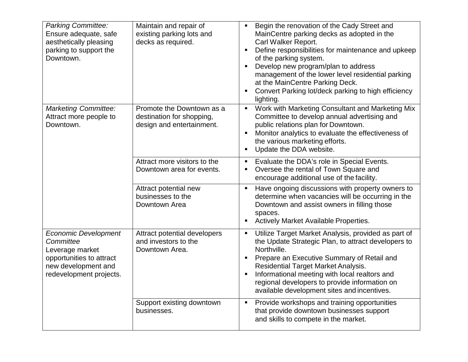| <b>Parking Committee:</b><br>Ensure adequate, safe<br>aesthetically pleasing<br>parking to support the<br>Downtown.                       | Maintain and repair of<br>existing parking lots and<br>decks as required.           | Begin the renovation of the Cady Street and<br>$\blacksquare$<br>MainCentre parking decks as adopted in the<br>Carl Walker Report.<br>Define responsibilities for maintenance and upkeep<br>п<br>of the parking system.<br>Develop new program/plan to address<br>$\blacksquare$<br>management of the lower level residential parking<br>at the MainCentre Parking Deck.<br>Convert Parking lot/deck parking to high efficiency<br>п<br>lighting. |
|-------------------------------------------------------------------------------------------------------------------------------------------|-------------------------------------------------------------------------------------|---------------------------------------------------------------------------------------------------------------------------------------------------------------------------------------------------------------------------------------------------------------------------------------------------------------------------------------------------------------------------------------------------------------------------------------------------|
| <b>Marketing Committee:</b><br>Attract more people to<br>Downtown.                                                                        | Promote the Downtown as a<br>destination for shopping,<br>design and entertainment. | Work with Marketing Consultant and Marketing Mix<br>$\blacksquare$<br>Committee to develop annual advertising and<br>public relations plan for Downtown.<br>Monitor analytics to evaluate the effectiveness of<br>п<br>the various marketing efforts.<br>Update the DDA website.<br>п                                                                                                                                                             |
|                                                                                                                                           | Attract more visitors to the<br>Downtown area for events.                           | Evaluate the DDA's role in Special Events.<br>п<br>Oversee the rental of Town Square and<br>п<br>encourage additional use of the facility.                                                                                                                                                                                                                                                                                                        |
|                                                                                                                                           | Attract potential new<br>businesses to the<br>Downtown Area                         | Have ongoing discussions with property owners to<br>$\blacksquare$<br>determine when vacancies will be occurring in the<br>Downtown and assist owners in filling those<br>spaces.<br>Actively Market Available Properties.<br>п                                                                                                                                                                                                                   |
| <b>Economic Development</b><br>Committee<br>Leverage market<br>opportunities to attract<br>new development and<br>redevelopment projects. | Attract potential developers<br>and investors to the<br>Downtown Area.              | Utilize Target Market Analysis, provided as part of<br>п<br>the Update Strategic Plan, to attract developers to<br>Northville.<br>Prepare an Executive Summary of Retail and<br>п<br><b>Residential Target Market Analysis.</b><br>Informational meeting with local realtors and<br>$\blacksquare$<br>regional developers to provide information on<br>available development sites and incentives.                                                |
|                                                                                                                                           | Support existing downtown<br>businesses.                                            | Provide workshops and training opportunities<br>п<br>that provide downtown businesses support<br>and skills to compete in the market.                                                                                                                                                                                                                                                                                                             |